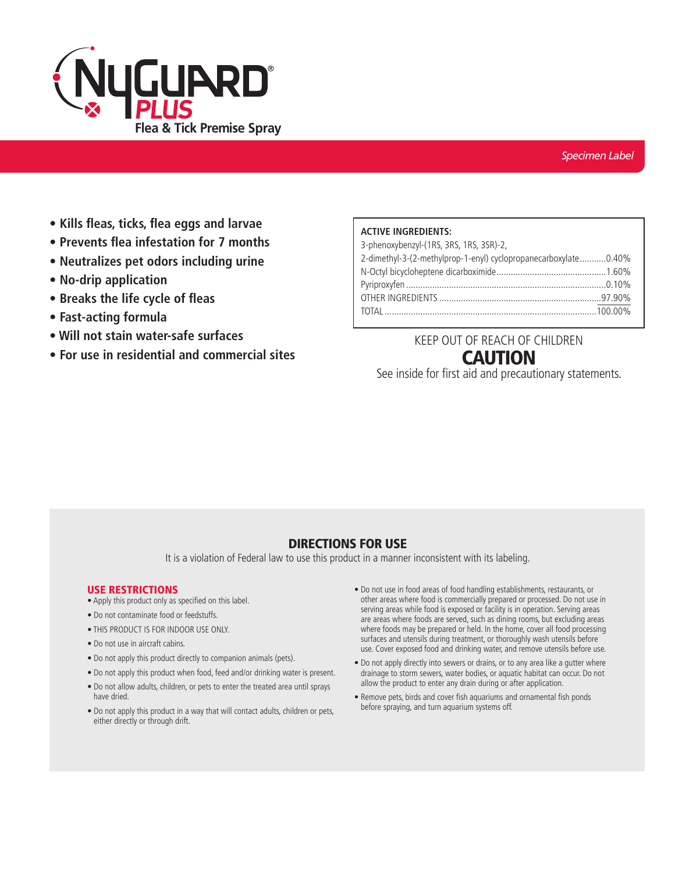

- **Kills fleas, ticks, flea eggs and larvae**
- **Prevents flea infestation for 7 months**
- **Neutralizes pet odors including urine**
- **No-drip application**
- **Breaks the life cycle of fleas**
- **Fast-acting formula**
- **Will not stain water-safe surfaces**
- **For use in residential and commercial sites**

### **ACTIVE INGREDIENTS:**

| 3-phenoxybenzyl-(1RS, 3RS, 1RS, 3SR)-2,                         |  |
|-----------------------------------------------------------------|--|
| 2-dimethyl-3-(2-methylprop-1-enyl) cyclopropanecarboxylate0.40% |  |
|                                                                 |  |
|                                                                 |  |
|                                                                 |  |
|                                                                 |  |

# KEEP OUT OF REACH OF CHILDREN **CAUTION**

See inside for first aid and precautionary statements.

## DIRECTIONS FOR USE

It is a violation of Federal law to use this product in a manner inconsistent with its labeling.

#### USE RESTRICTIONS

- Apply this product only as specified on this label.
- Do not contaminate food or feedstuffs.
- THIS PRODUCT IS FOR INDOOR USE ONLY.
- Do not use in aircraft cabins.
- Do not apply this product directly to companion animals (pets).
- Do not apply this product when food, feed and/or drinking water is present.
- Do not allow adults, children, or pets to enter the treated area until sprays have dried.
- Do not apply this product in a way that will contact adults, children or pets, either directly or through drift.
- Do not use in food areas of food handling establishments, restaurants, or other areas where food is commercially prepared or processed. Do not use in serving areas while food is exposed or facility is in operation. Serving areas are areas where foods are served, such as dining rooms, but excluding areas where foods may be prepared or held. In the home, cover all food processing surfaces and utensils during treatment, or thoroughly wash utensils before use. Cover exposed food and drinking water, and remove utensils before use.
- Do not apply directly into sewers or drains, or to any area like a gutter where drainage to storm sewers, water bodies, or aquatic habitat can occur. Do not allow the product to enter any drain during or after application.
- Remove pets, birds and cover fish aquariums and ornamental fish ponds before spraying, and turn aquarium systems off.